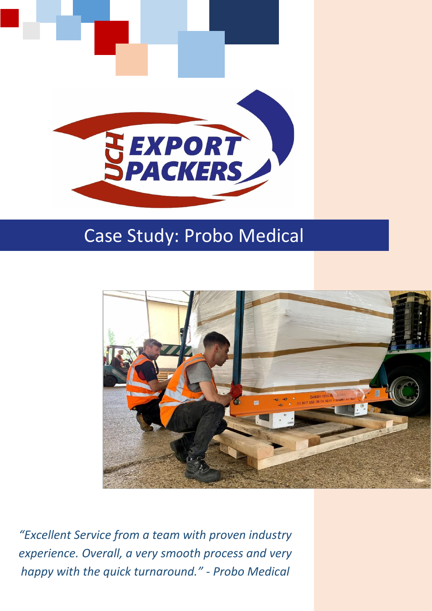

# Case Study: Probo Medical



*"Excellent Service from a team with proven industry experience. Overall, a very smooth process and very happy with the quick turnaround." - Probo Medical*